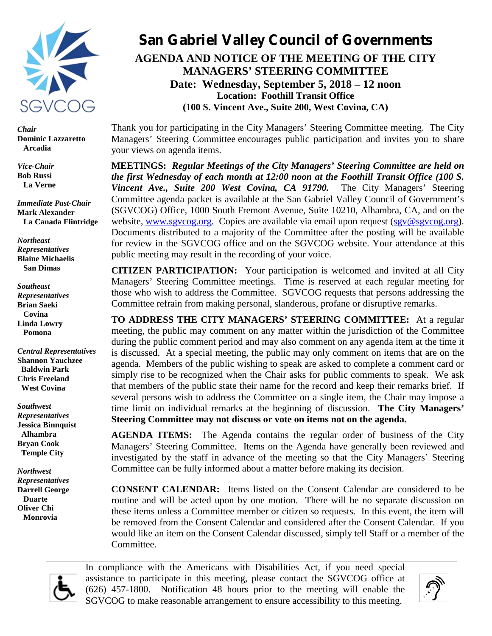

*Chair* **Dominic Lazzaretto Arcadia**

*Vice-Chair* **Bob Russi La Verne**

*Immediate Past-Chair* **Mark Alexander La Canada Flintridge**

*Northeast Representatives* **Blaine Michaelis San Dimas**

*Southeast Representatives* **Brian Saeki Covina Linda Lowry Pomona**

*Central Representatives* **Shannon Yauchzee Baldwin Park Chris Freeland West Covina** 

*Southwest Representatives* **Jessica Binnquist Alhambra Bryan Cook Temple City**

*Northwest Representatives* **Darrell George Duarte Oliver Chi Monrovia**

# **San Gabriel Valley Council of Governments AGENDA AND NOTICE OF THE MEETING OF THE CITY**

**MANAGERS' STEERING COMMITTEE Date: Wednesday, September 5, 2018 – 12 noon Location: Foothill Transit Office (100 S. Vincent Ave., Suite 200, West Covina, CA)**

Thank you for participating in the City Managers' Steering Committee meeting. The City Managers' Steering Committee encourages public participation and invites you to share your views on agenda items.

**MEETINGS:** *Regular Meetings of the City Managers' Steering Committee are held on the first Wednesday of each month at 12:00 noon at the Foothill Transit Office (100 S. Vincent Ave., Suite 200 West Covina, CA 91790.* The City Managers' Steering Committee agenda packet is available at the San Gabriel Valley Council of Government's (SGVCOG) Office, 1000 South Fremont Avenue, Suite 10210, Alhambra, CA, and on the website, www.sgvcog.org. Copies are available via email upon request (sgv@sgvcog.org). Documents distributed to a majority of the Committee after the posting will be available for review in the SGVCOG office and on the SGVCOG website. Your attendance at this public meeting may result in the recording of your voice.

**CITIZEN PARTICIPATION:** Your participation is welcomed and invited at all City Managers' Steering Committee meetings. Time is reserved at each regular meeting for those who wish to address the Committee. SGVCOG requests that persons addressing the Committee refrain from making personal, slanderous, profane or disruptive remarks.

**TO ADDRESS THE CITY MANAGERS' STEERING COMMITTEE:** At a regular meeting, the public may comment on any matter within the jurisdiction of the Committee during the public comment period and may also comment on any agenda item at the time it is discussed. At a special meeting, the public may only comment on items that are on the agenda. Members of the public wishing to speak are asked to complete a comment card or simply rise to be recognized when the Chair asks for public comments to speak. We ask that members of the public state their name for the record and keep their remarks brief. If several persons wish to address the Committee on a single item, the Chair may impose a time limit on individual remarks at the beginning of discussion. **The City Managers' Steering Committee may not discuss or vote on items not on the agenda.**

**AGENDA ITEMS:** The Agenda contains the regular order of business of the City Managers' Steering Committee. Items on the Agenda have generally been reviewed and investigated by the staff in advance of the meeting so that the City Managers' Steering Committee can be fully informed about a matter before making its decision.

**CONSENT CALENDAR:** Items listed on the Consent Calendar are considered to be routine and will be acted upon by one motion. There will be no separate discussion on these items unless a Committee member or citizen so requests. In this event, the item will be removed from the Consent Calendar and considered after the Consent Calendar. If you would like an item on the Consent Calendar discussed, simply tell Staff or a member of the Committee.



In compliance with the Americans with Disabilities Act, if you need special assistance to participate in this meeting, please contact the SGVCOG office at (626) 457-1800. Notification 48 hours prior to the meeting will enable the SGVCOG to make reasonable arrangement to ensure accessibility to this meeting.

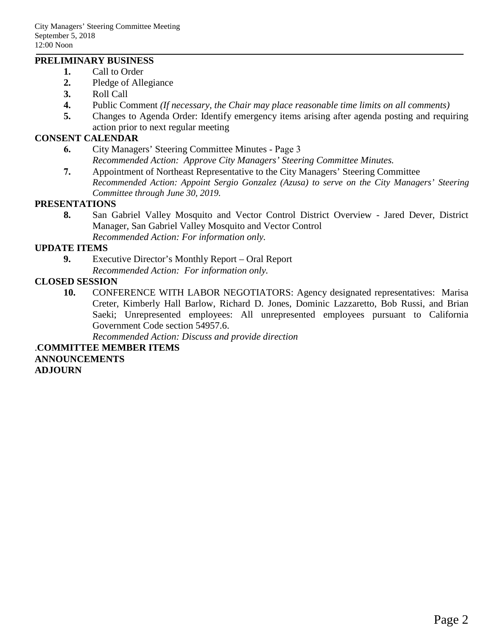### **PRELIMINARY BUSINESS**

- **1.** Call to Order
- **2.** Pledge of Allegiance
- **3.** Roll Call
- **4.** Public Comment *(If necessary, the Chair may place reasonable time limits on all comments)*
- **5.** Changes to Agenda Order: Identify emergency items arising after agenda posting and requiring action prior to next regular meeting

## **CONSENT CALENDAR**

- **6.** City Managers' Steering Committee Minutes Page 3 *Recommended Action: Approve City Managers' Steering Committee Minutes.*
- **7.** Appointment of Northeast Representative to the City Managers' Steering Committee *Recommended Action: Appoint Sergio Gonzalez (Azusa) to serve on the City Managers' Steering Committee through June 30, 2019.*

### **PRESENTATIONS**

**8.** San Gabriel Valley Mosquito and Vector Control District Overview - Jared Dever, District Manager, San Gabriel Valley Mosquito and Vector Control *Recommended Action: For information only.*

### **UPDATE ITEMS**

**9.** Executive Director's Monthly Report – Oral Report *Recommended Action: For information only.*

### **CLOSED SESSION**

**10.** CONFERENCE WITH LABOR NEGOTIATORS: Agency designated representatives: Marisa Creter, Kimberly Hall Barlow, Richard D. Jones, Dominic Lazzaretto, Bob Russi, and Brian Saeki; Unrepresented employees: All unrepresented employees pursuant to California Government Code section 54957.6.

*Recommended Action: Discuss and provide direction*

.**COMMITTEE MEMBER ITEMS ANNOUNCEMENTS ADJOURN**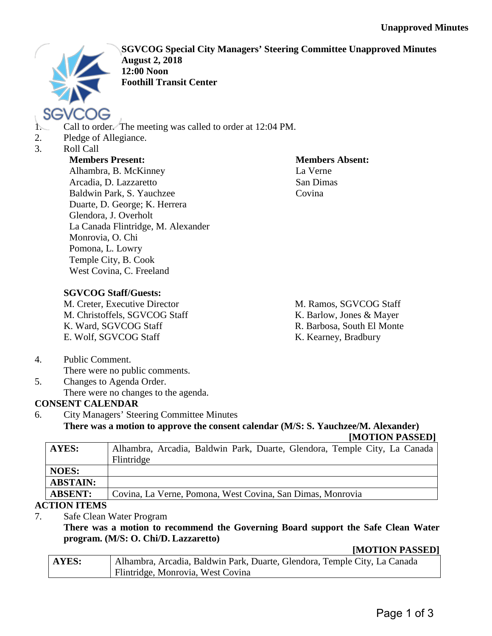

**SGVCOG Special City Managers' Steering Committee Unapproved Minutes August 2, 2018 12:00 Noon Foothill Transit Center**

- 1. Call to order. The meeting was called to order at 12:04 PM.
- 2. Pledge of Allegiance.
- 3. Roll Call

# **Members Present:**

Alhambra, B. McKinney Arcadia, D. Lazzaretto Baldwin Park, S. Yauchzee Duarte, D. George; K. Herrera Glendora, J. Overholt La Canada Flintridge, M. Alexander Monrovia, O. Chi Pomona, L. Lowry Temple City, B. Cook West Covina, C. Freeland

**Members Absent:** La Verne San Dimas Covina

# **SGVCOG Staff/Guests:**

M. Creter, Executive Director M. Christoffels, SGVCOG Staff K. Ward, SGVCOG Staff E. Wolf, SGVCOG Staff

M. Ramos, SGVCOG Staff K. Barlow, Jones & Mayer R. Barbosa, South El Monte K. Kearney, Bradbury

4. Public Comment.

There were no public comments.

5. Changes to Agenda Order. There were no changes to the agenda.

# **CONSENT CALENDAR**

6. City Managers' Steering Committee Minutes **There was a motion to approve the consent calendar (M/S: S. Yauchzee/M. Alexander)**

**[MOTION PASSED]**

| AYES:           | Alhambra, Arcadia, Baldwin Park, Duarte, Glendora, Temple City, La Canada<br>Flintridge |
|-----------------|-----------------------------------------------------------------------------------------|
| <b>NOES:</b>    |                                                                                         |
| <b>ABSTAIN:</b> |                                                                                         |
| <b>ABSENT:</b>  | Covina, La Verne, Pomona, West Covina, San Dimas, Monrovia                              |
| 'TIAN ITEMC     |                                                                                         |

## **ACTION ITEMS**

7. Safe Clean Water Program

**There was a motion to recommend the Governing Board support the Safe Clean Water program. (M/S: O. Chi/D. Lazzaretto)**

## **[MOTION PASSED]**

| AYES: | Alhambra, Arcadia, Baldwin Park, Duarte, Glendora, Temple City, La Canada |
|-------|---------------------------------------------------------------------------|
|       | Flintridge, Monrovia, West Covina                                         |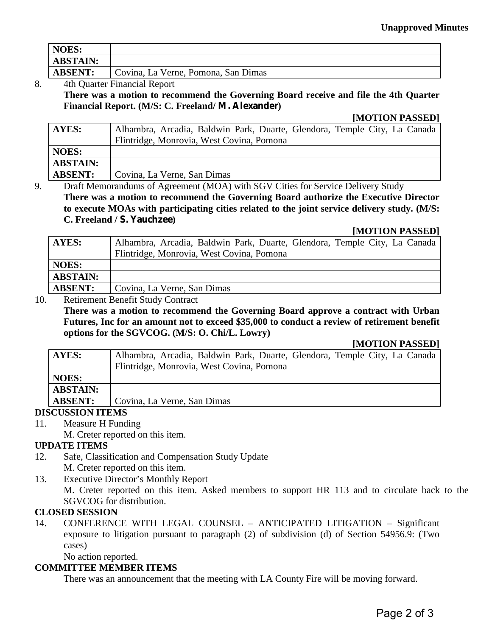| <b>NOES:</b>    |                                     |
|-----------------|-------------------------------------|
| <b>ABSTAIN:</b> |                                     |
| <b>ABSENT:</b>  | Covina, La Verne, Pomona, San Dimas |

# 8. 4th Quarter Financial Report **There was a motion to recommend the Governing Board receive and file the 4th Quarter Financial Report. (M/S: C. Freeland/ M. Alexander)**

### **[MOTION PASSED]**

| AYES:           | Alhambra, Arcadia, Baldwin Park, Duarte, Glendora, Temple City, La Canada |
|-----------------|---------------------------------------------------------------------------|
|                 | Flintridge, Monrovia, West Covina, Pomona                                 |
| NOES:           |                                                                           |
| <b>ABSTAIN:</b> |                                                                           |
| <b>ABSENT:</b>  | Covina, La Verne, San Dimas                                               |
|                 |                                                                           |

9. Draft Memorandums of Agreement (MOA) with SGV Cities for Service Delivery Study **There was a motion to recommend the Governing Board authorize the Executive Director to execute MOAs with participating cities related to the joint service delivery study. (M/S: C. Freeland / S. Yauchzee)** 

### **[MOTION PASSED]**

| <b>AYES:</b>    | Alhambra, Arcadia, Baldwin Park, Duarte, Glendora, Temple City, La Canada |
|-----------------|---------------------------------------------------------------------------|
|                 | Flintridge, Monrovia, West Covina, Pomona                                 |
| <b>NOES:</b>    |                                                                           |
| <b>ABSTAIN:</b> |                                                                           |
| <b>ABSENT:</b>  | Covina, La Verne, San Dimas                                               |

#### 10. Retirement Benefit Study Contract

**There was a motion to recommend the Governing Board approve a contract with Urban Futures, Inc for an amount not to exceed \$35,000 to conduct a review of retirement benefit options for the SGVCOG. (M/S: O. Chi/L. Lowry)** 

### **[MOTION PASSED]**

| AYES:           | Alhambra, Arcadia, Baldwin Park, Duarte, Glendora, Temple City, La Canada |
|-----------------|---------------------------------------------------------------------------|
|                 | Flintridge, Monrovia, West Covina, Pomona                                 |
| <b>NOES:</b>    |                                                                           |
| <b>ABSTAIN:</b> |                                                                           |
| <b>ABSENT:</b>  | Covina, La Verne, San Dimas                                               |

### **DISCUSSION ITEMS**

- 11. Measure H Funding
- M. Creter reported on this item.

# **UPDATE ITEMS**

- 12. Safe, Classification and Compensation Study Update M. Creter reported on this item.
- 13. Executive Director's Monthly Report

M. Creter reported on this item. Asked members to support HR 113 and to circulate back to the SGVCOG for distribution.

### **CLOSED SESSION**

14. CONFERENCE WITH LEGAL COUNSEL – ANTICIPATED LITIGATION – Significant exposure to litigation pursuant to paragraph (2) of subdivision (d) of Section 54956.9: (Two cases)

No action reported. **COMMITTEE MEMBER ITEMS** 

## There was an announcement that the meeting with LA County Fire will be moving forward.